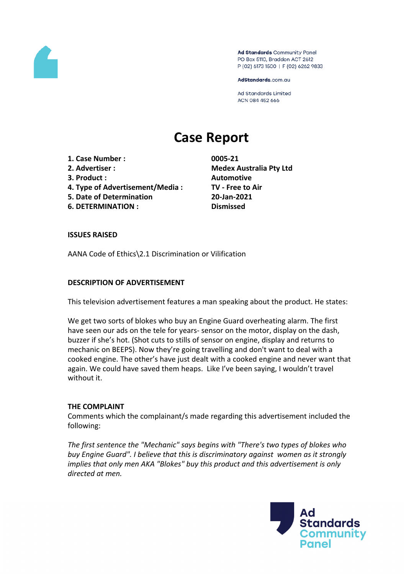

Ad Standards Community Panel PO Box 5110, Braddon ACT 2612 P (02) 6173 1500 | F (02) 6262 9833

AdStandards.com.au

**Ad Standards Limited** ACN 084 452 666

# **Case Report**

- **1. Case Number : 0005-21**
- 
- **3. Product : Automotive**
- **4. Type of Advertisement/Media : TV - Free to Air**
- **5. Date of Determination 20-Jan-2021**
- **6. DETERMINATION : Dismissed**

**2. Advertiser : Medex Australia Pty Ltd**

## **ISSUES RAISED**

AANA Code of Ethics\2.1 Discrimination or Vilification

## **DESCRIPTION OF ADVERTISEMENT**

This television advertisement features a man speaking about the product. He states:

We get two sorts of blokes who buy an Engine Guard overheating alarm. The first have seen our ads on the tele for years- sensor on the motor, display on the dash, buzzer if she's hot. (Shot cuts to stills of sensor on engine, display and returns to mechanic on BEEPS). Now they're going travelling and don't want to deal with a cooked engine. The other's have just dealt with a cooked engine and never want that again. We could have saved them heaps. Like I've been saying, I wouldn't travel without it.

# **THE COMPLAINT**

Comments which the complainant/s made regarding this advertisement included the following:

*The first sentence the "Mechanic" says begins with "There's two types of blokes who buy Engine Guard". I believe that this is discriminatory against women as it strongly implies that only men AKA "Blokes" buy this product and this advertisement is only directed at men.*

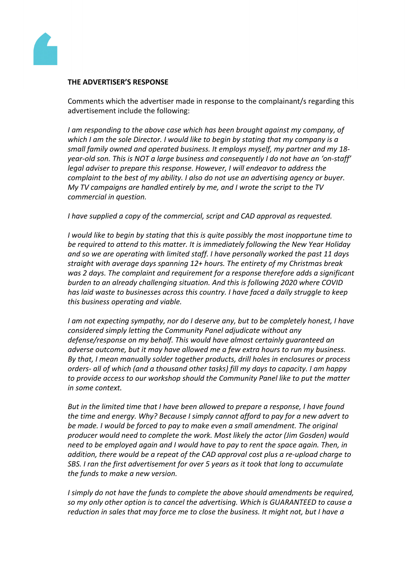

#### **THE ADVERTISER'S RESPONSE**

Comments which the advertiser made in response to the complainant/s regarding this advertisement include the following:

*I am responding to the above case which has been brought against my company, of which I am the sole Director. I would like to begin by stating that my company is a small family owned and operated business. It employs myself, my partner and my 18 year-old son. This is NOT a large business and consequently I do not have an 'on-staff' legal adviser to prepare this response. However, I will endeavor to address the complaint to the best of my ability. I also do not use an advertising agency or buyer. My TV campaigns are handled entirely by me, and I wrote the script to the TV commercial in question.*

*I have supplied a copy of the commercial, script and CAD approval as requested.*

*I would like to begin by stating that this is quite possibly the most inopportune time to be required to attend to this matter. It is immediately following the New Year Holiday and so we are operating with limited staff. I have personally worked the past 11 days straight with average days spanning 12+ hours. The entirety of my Christmas break was 2 days. The complaint and requirement for a response therefore adds a significant burden to an already challenging situation. And this is following 2020 where COVID has laid waste to businesses across this country. I have faced a daily struggle to keep this business operating and viable.* 

*I am not expecting sympathy, nor do I deserve any, but to be completely honest, I have considered simply letting the Community Panel adjudicate without any defense/response on my behalf. This would have almost certainly guaranteed an adverse outcome, but it may have allowed me a few extra hours to run my business. By that, I mean manually solder together products, drill holes in enclosures or process orders- all of which (and a thousand other tasks) fill my days to capacity. I am happy to provide access to our workshop should the Community Panel like to put the matter in some context.*

*But in the limited time that I have been allowed to prepare a response, I have found the time and energy. Why? Because I simply cannot afford to pay for a new advert to be made. I would be forced to pay to make even a small amendment. The original producer would need to complete the work. Most likely the actor (Jim Gosden) would need to be employed again and I would have to pay to rent the space again. Then, in addition, there would be a repeat of the CAD approval cost plus a re-upload charge to SBS. I ran the first advertisement for over 5 years as it took that long to accumulate the funds to make a new version.*

*I simply do not have the funds to complete the above should amendments be required, so my only other option is to cancel the advertising. Which is GUARANTEED to cause a reduction in sales that may force me to close the business. It might not, but I have a*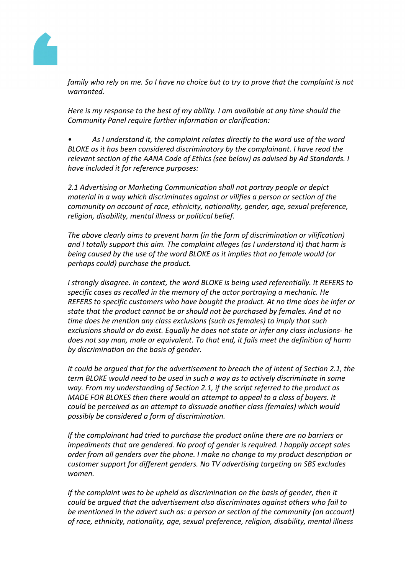

family who rely on me. So I have no choice but to try to prove that the complaint is not *warranted.*

*Here is my response to the best of my ability. I am available at any time should the Community Panel require further information or clarification:*

*• As I understand it, the complaint relates directly to the word use of the word BLOKE as it has been considered discriminatory by the complainant. I have read the relevant section of the AANA Code of Ethics (see below) as advised by Ad Standards. I have included it for reference purposes:*

*2.1 Advertising or Marketing Communication shall not portray people or depict material in a way which discriminates against or vilifies a person or section of the community on account of race, ethnicity, nationality, gender, age, sexual preference, religion, disability, mental illness or political belief.*

*The above clearly aims to prevent harm (in the form of discrimination or vilification) and I totally support this aim. The complaint alleges (as I understand it) that harm is being caused by the use of the word BLOKE as it implies that no female would (or perhaps could) purchase the product.* 

*I strongly disagree. In context, the word BLOKE is being used referentially. It REFERS to specific cases as recalled in the memory of the actor portraying a mechanic. He REFERS to specific customers who have bought the product. At no time does he infer or state that the product cannot be or should not be purchased by females. And at no time does he mention any class exclusions (such as females) to imply that such exclusions should or do exist. Equally he does not state or infer any class inclusions- he does not say man, male or equivalent. To that end, it fails meet the definition of harm by discrimination on the basis of gender.*

*It could be argued that for the advertisement to breach the of intent of Section 2.1, the term BLOKE would need to be used in such a way as to actively discriminate in some way. From my understanding of Section 2.1, if the script referred to the product as MADE FOR BLOKES then there would an attempt to appeal to a class of buyers. It could be perceived as an attempt to dissuade another class (females) which would possibly be considered a form of discrimination.*

*If the complainant had tried to purchase the product online there are no barriers or impediments that are gendered. No proof of gender is required. I happily accept sales order from all genders over the phone. I make no change to my product description or customer support for different genders. No TV advertising targeting on SBS excludes women.*

*If the complaint was to be upheld as discrimination on the basis of gender, then it could be argued that the advertisement also discriminates against others who fail to be mentioned in the advert such as: a person or section of the community (on account) of race, ethnicity, nationality, age, sexual preference, religion, disability, mental illness*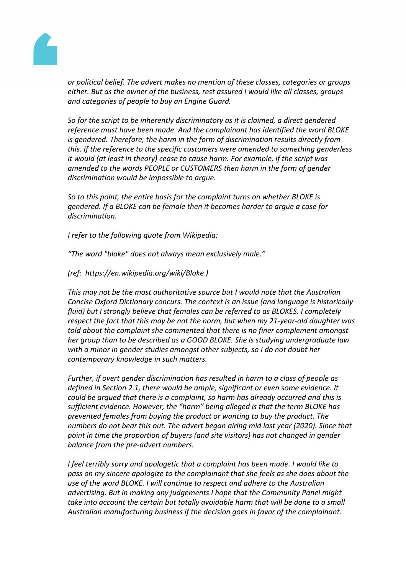

*or political belief. The advert makes no mention of these classes, categories or groups either. But as the owner of the business, rest assured I would like all classes, groups and categories of people to buy an Engine Guard.*

*So for the script to be inherently discriminatory as it is claimed, a direct gendered reference must have been made. And the complainant has identified the word BLOKE is gendered. Therefore, the harm in the form of discrimination results directly from this. If the reference to the specific customers were amended to something genderless it would (at least in theory) cease to cause harm. For example, if the script was amended to the words PEOPLE or CUSTOMERS then harm in the form of gender discrimination would be impossible to argue.*

*So to this point, the entire basis for the complaint turns on whether BLOKE is gendered. If a BLOKE can be female then it becomes harder to argue a case for discrimination.*

*I refer to the following quote from Wikipedia:*

*"The word "bloke" does not always mean exclusively male."*

*(ref: https://en.wikipedia.org/wiki/Bloke )*

*This may not be the most authoritative source but I would note that the Australian Concise Oxford Dictionary concurs. The context is an issue (and language is historically fluid) but I strongly believe that females can be referred to as BLOKES. I completely respect the fact that this may be not the norm, but when my 21-year-old daughter was told about the complaint she commented that there is no finer complement amongst her group than to be described as a GOOD BLOKE. She is studying undergraduate law with a minor in gender studies amongst other subjects, so I do not doubt her contemporary knowledge in such matters.*

*Further, if overt gender discrimination has resulted in harm to a class of people as defined in Section 2.1, there would be ample, significant or even some evidence. It could be argued that there is a complaint, so harm has already occurred and this is sufficient evidence. However, the "harm" being alleged is that the term BLOKE has prevented females from buying the product or wanting to buy the product. The numbers do not bear this out. The advert began airing mid last year (2020). Since that point in time the proportion of buyers (and site visitors) has not changed in gender balance from the pre-advert numbers.*

*I feel terribly sorry and apologetic that a complaint has been made. I would like to pass on my sincere apologize to the complainant that she feels as she does about the use of the word BLOKE. I will continue to respect and adhere to the Australian advertising. But in making any judgements I hope that the Community Panel might take into account the certain but totally avoidable harm that will be done to a small Australian manufacturing business if the decision goes in favor of the complainant.*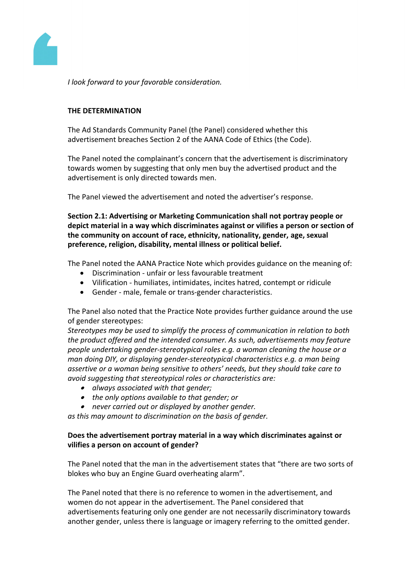

*I look forward to your favorable consideration.*

# **THE DETERMINATION**

The Ad Standards Community Panel (the Panel) considered whether this advertisement breaches Section 2 of the AANA Code of Ethics (the Code).

The Panel noted the complainant's concern that the advertisement is discriminatory towards women by suggesting that only men buy the advertised product and the advertisement is only directed towards men.

The Panel viewed the advertisement and noted the advertiser's response.

**Section 2.1: Advertising or Marketing Communication shall not portray people or depict material in a way which discriminates against or vilifies a person or section of the community on account of race, ethnicity, nationality, gender, age, sexual preference, religion, disability, mental illness or political belief.**

The Panel noted the AANA Practice Note which provides guidance on the meaning of:

- Discrimination unfair or less favourable treatment
- Vilification humiliates, intimidates, incites hatred, contempt or ridicule
- Gender male, female or trans-gender characteristics.

The Panel also noted that the Practice Note provides further guidance around the use of gender stereotypes:

*Stereotypes may be used to simplify the process of communication in relation to both the product offered and the intended consumer. As such, advertisements may feature people undertaking gender-stereotypical roles e.g. a woman cleaning the house or a man doing DIY, or displaying gender-stereotypical characteristics e.g. a man being assertive or a woman being sensitive to others' needs, but they should take care to avoid suggesting that stereotypical roles or characteristics are:*

- *always associated with that gender;*
- *the only options available to that gender; or*
- *never carried out or displayed by another gender.*

*as this may amount to discrimination on the basis of gender.*

# **Does the advertisement portray material in a way which discriminates against or vilifies a person on account of gender?**

The Panel noted that the man in the advertisement states that "there are two sorts of blokes who buy an Engine Guard overheating alarm".

The Panel noted that there is no reference to women in the advertisement, and women do not appear in the advertisement. The Panel considered that advertisements featuring only one gender are not necessarily discriminatory towards another gender, unless there is language or imagery referring to the omitted gender.